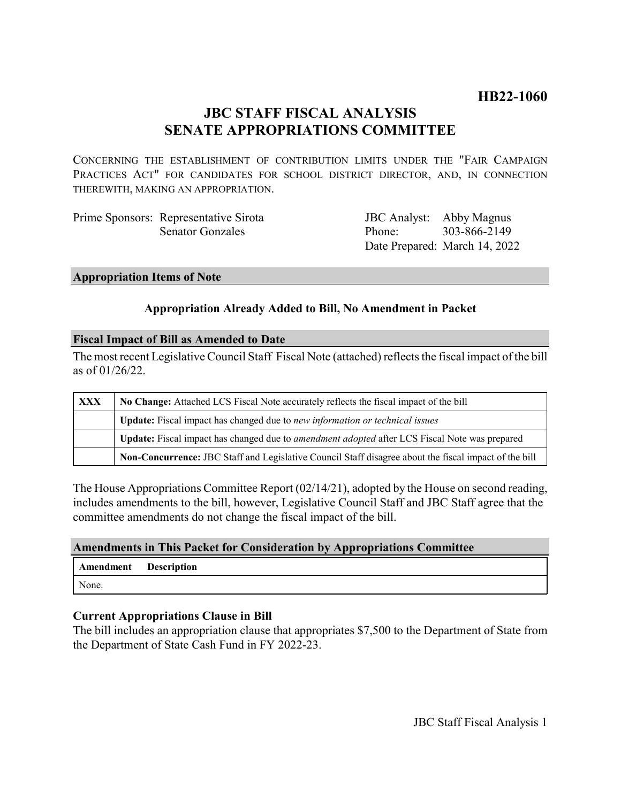# **HB22-1060**

# **JBC STAFF FISCAL ANALYSIS SENATE APPROPRIATIONS COMMITTEE**

CONCERNING THE ESTABLISHMENT OF CONTRIBUTION LIMITS UNDER THE "FAIR CAMPAIGN PRACTICES ACT" FOR CANDIDATES FOR SCHOOL DISTRICT DIRECTOR, AND, IN CONNECTION THEREWITH, MAKING AN APPROPRIATION.

| Prime Sponsors: Representative Sirota | JBC Analyst: Abby Magnus |                               |
|---------------------------------------|--------------------------|-------------------------------|
| <b>Senator Gonzales</b>               | Phone: 303-866-2149      |                               |
|                                       |                          | Date Prepared: March 14, 2022 |

#### **Appropriation Items of Note**

## **Appropriation Already Added to Bill, No Amendment in Packet**

#### **Fiscal Impact of Bill as Amended to Date**

The most recent Legislative Council Staff Fiscal Note (attached) reflects the fiscal impact of the bill as of 01/26/22.

| XXX | No Change: Attached LCS Fiscal Note accurately reflects the fiscal impact of the bill                 |  |
|-----|-------------------------------------------------------------------------------------------------------|--|
|     | Update: Fiscal impact has changed due to new information or technical issues                          |  |
|     | Update: Fiscal impact has changed due to <i>amendment adopted</i> after LCS Fiscal Note was prepared  |  |
|     | Non-Concurrence: JBC Staff and Legislative Council Staff disagree about the fiscal impact of the bill |  |

The House Appropriations Committee Report (02/14/21), adopted by the House on second reading, includes amendments to the bill, however, Legislative Council Staff and JBC Staff agree that the committee amendments do not change the fiscal impact of the bill.

## **Amendments in This Packet for Consideration by Appropriations Committee**

| Amendment Description |  |
|-----------------------|--|
| None.                 |  |

## **Current Appropriations Clause in Bill**

The bill includes an appropriation clause that appropriates \$7,500 to the Department of State from the Department of State Cash Fund in FY 2022-23.